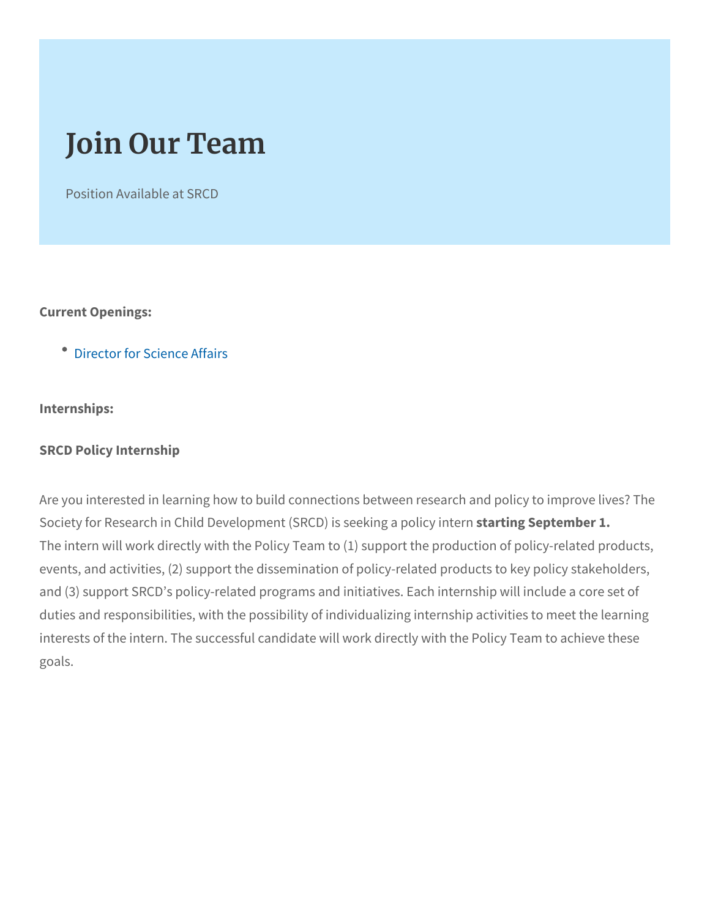## Join Our Team

Position Available at SRCD

Current Openings:

[Director for Sci](https://www.srcd.org/news/job-opportunity-director-science-affairs)ence Affairs

Internships:

SRCD Policy Internship

Are you interested in learning how to build connections between re Society for Research in Child Development (StactDn) giss spetekning era 1pol The intern will work directly with the Policy Team to (1) support the events, and activities, (2) support the dissemination of policy-relat and (3) support SRCD s policy-related programs and initiatives. Ea duties and responsibilities, with the possibility of individualizing in interests of the intern. The successful candidate will work directly goals.